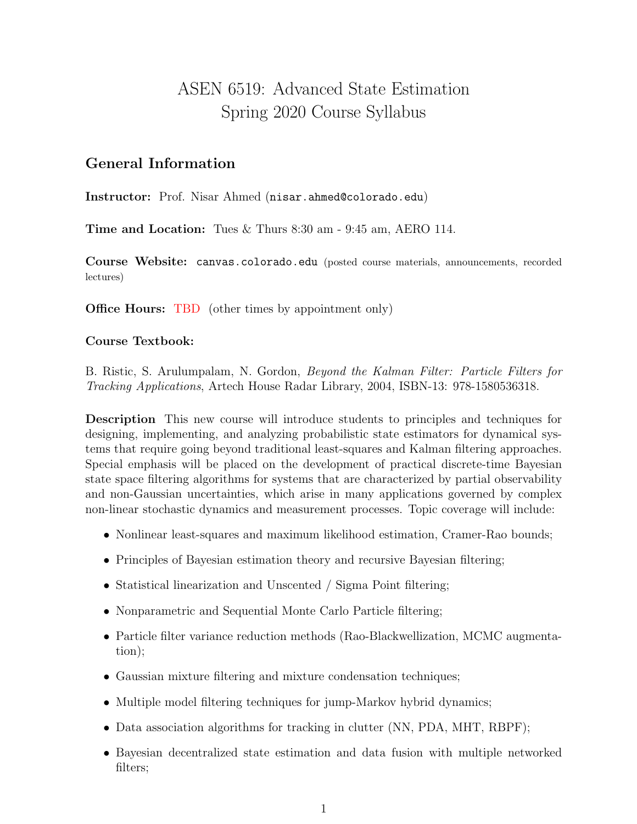# ASEN 6519: Advanced State Estimation Spring 2020 Course Syllabus

### General Information

Instructor: Prof. Nisar Ahmed (nisar.ahmed@colorado.edu)

Time and Location: Tues & Thurs 8:30 am - 9:45 am, AERO 114.

Course Website: canvas.colorado.edu (posted course materials, announcements, recorded lectures)

**Office Hours:** TBD (other times by appointment only)

#### Course Textbook:

B. Ristic, S. Arulumpalam, N. Gordon, Beyond the Kalman Filter: Particle Filters for Tracking Applications, Artech House Radar Library, 2004, ISBN-13: 978-1580536318.

Description This new course will introduce students to principles and techniques for designing, implementing, and analyzing probabilistic state estimators for dynamical systems that require going beyond traditional least-squares and Kalman filtering approaches. Special emphasis will be placed on the development of practical discrete-time Bayesian state space filtering algorithms for systems that are characterized by partial observability and non-Gaussian uncertainties, which arise in many applications governed by complex non-linear stochastic dynamics and measurement processes. Topic coverage will include:

- Nonlinear least-squares and maximum likelihood estimation, Cramer-Rao bounds;
- Principles of Bayesian estimation theory and recursive Bayesian filtering;
- Statistical linearization and Unscented / Sigma Point filtering;
- Nonparametric and Sequential Monte Carlo Particle filtering;
- Particle filter variance reduction methods (Rao-Blackwellization, MCMC augmentation);
- Gaussian mixture filtering and mixture condensation techniques;
- Multiple model filtering techniques for jump-Markov hybrid dynamics;
- Data association algorithms for tracking in clutter (NN, PDA, MHT, RBPF);
- Bayesian decentralized state estimation and data fusion with multiple networked filters;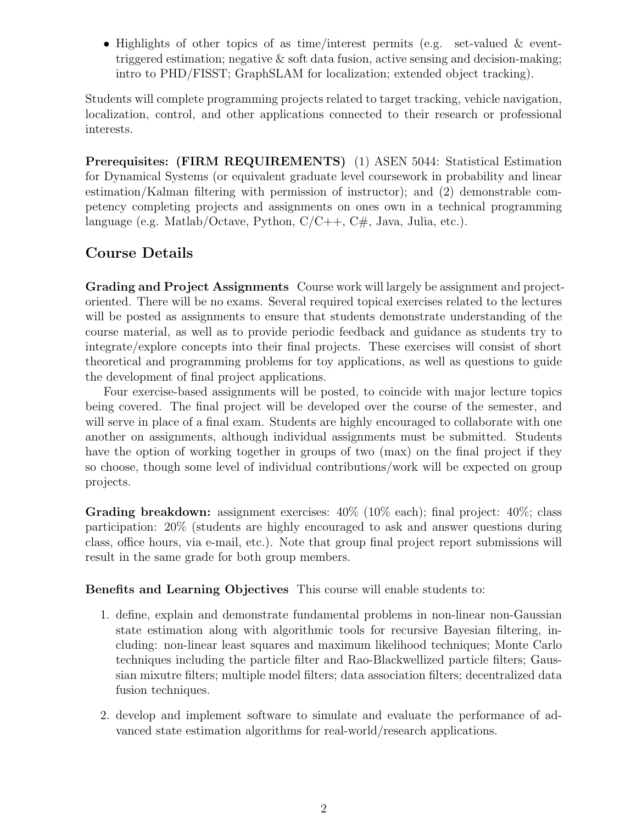• Highlights of other topics of as time/interest permits (e.g. set-valued & eventtriggered estimation; negative  $\&$  soft data fusion, active sensing and decision-making; intro to PHD/FISST; GraphSLAM for localization; extended object tracking).

Students will complete programming projects related to target tracking, vehicle navigation, localization, control, and other applications connected to their research or professional interests.

Prerequisites: (FIRM REQUIREMENTS) (1) ASEN 5044: Statistical Estimation for Dynamical Systems (or equivalent graduate level coursework in probability and linear estimation/Kalman filtering with permission of instructor); and (2) demonstrable competency completing projects and assignments on ones own in a technical programming language (e.g. Matlab/Octave, Python,  $C/C++$ ,  $C#$ , Java, Julia, etc.).

## Course Details

Grading and Project Assignments Course work will largely be assignment and projectoriented. There will be no exams. Several required topical exercises related to the lectures will be posted as assignments to ensure that students demonstrate understanding of the course material, as well as to provide periodic feedback and guidance as students try to integrate/explore concepts into their final projects. These exercises will consist of short theoretical and programming problems for toy applications, as well as questions to guide the development of final project applications.

Four exercise-based assignments will be posted, to coincide with major lecture topics being covered. The final project will be developed over the course of the semester, and will serve in place of a final exam. Students are highly encouraged to collaborate with one another on assignments, although individual assignments must be submitted. Students have the option of working together in groups of two (max) on the final project if they so choose, though some level of individual contributions/work will be expected on group projects.

**Grading breakdown:** assignment exercises:  $40\%$  ( $10\%$  each); final project:  $40\%$ ; class participation: 20% (students are highly encouraged to ask and answer questions during class, office hours, via e-mail, etc.). Note that group final project report submissions will result in the same grade for both group members.

Benefits and Learning Objectives This course will enable students to:

- 1. define, explain and demonstrate fundamental problems in non-linear non-Gaussian state estimation along with algorithmic tools for recursive Bayesian filtering, including: non-linear least squares and maximum likelihood techniques; Monte Carlo techniques including the particle filter and Rao-Blackwellized particle filters; Gaussian mixutre filters; multiple model filters; data association filters; decentralized data fusion techniques.
- 2. develop and implement software to simulate and evaluate the performance of advanced state estimation algorithms for real-world/research applications.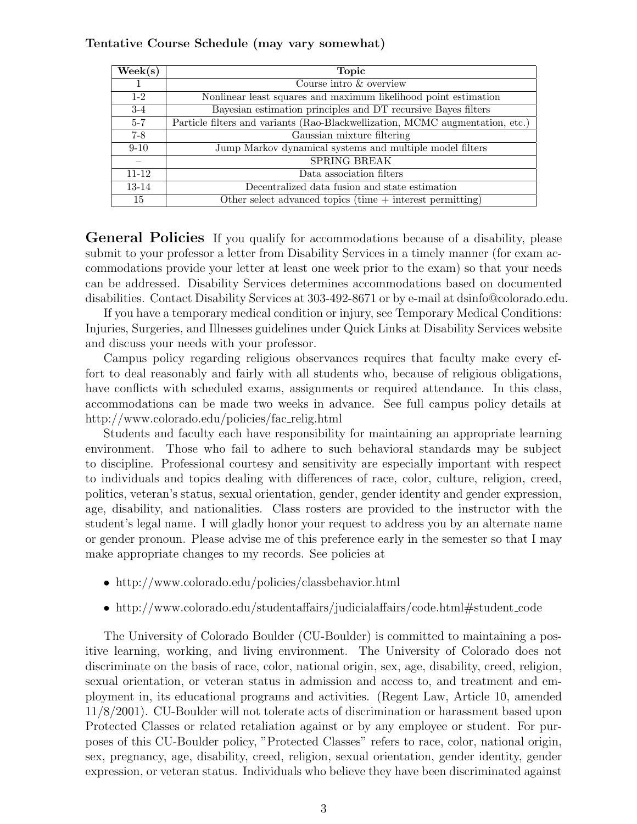#### Tentative Course Schedule (may vary somewhat)

| $\text{Week}(s)$ | <b>Topic</b>                                                                  |
|------------------|-------------------------------------------------------------------------------|
|                  | Course intro & overview                                                       |
| $1-2$            | Nonlinear least squares and maximum likelihood point estimation               |
| $3-4$            | Bayesian estimation principles and DT recursive Bayes filters                 |
| $5 - 7$          | Particle filters and variants (Rao-Blackwellization, MCMC augmentation, etc.) |
| $7-8$            | Gaussian mixture filtering                                                    |
| $9 - 10$         | Jump Markov dynamical systems and multiple model filters                      |
|                  | <b>SPRING BREAK</b>                                                           |
| $11 - 12$        | Data association filters                                                      |
| 13-14            | Decentralized data fusion and state estimation                                |
| 15               | Other select advanced topics (time $+$ interest permitting)                   |

General Policies If you qualify for accommodations because of a disability, please submit to your professor a letter from Disability Services in a timely manner (for exam accommodations provide your letter at least one week prior to the exam) so that your needs can be addressed. Disability Services determines accommodations based on documented disabilities. Contact Disability Services at 303-492-8671 or by e-mail at dsinfo@colorado.edu.

If you have a temporary medical condition or injury, see Temporary Medical Conditions: Injuries, Surgeries, and Illnesses guidelines under Quick Links at Disability Services website and discuss your needs with your professor.

Campus policy regarding religious observances requires that faculty make every effort to deal reasonably and fairly with all students who, because of religious obligations, have conflicts with scheduled exams, assignments or required attendance. In this class, accommodations can be made two weeks in advance. See full campus policy details at http://www.colorado.edu/policies/fac relig.html

Students and faculty each have responsibility for maintaining an appropriate learning environment. Those who fail to adhere to such behavioral standards may be subject to discipline. Professional courtesy and sensitivity are especially important with respect to individuals and topics dealing with differences of race, color, culture, religion, creed, politics, veteran's status, sexual orientation, gender, gender identity and gender expression, age, disability, and nationalities. Class rosters are provided to the instructor with the student's legal name. I will gladly honor your request to address you by an alternate name or gender pronoun. Please advise me of this preference early in the semester so that I may make appropriate changes to my records. See policies at

- http://www.colorado.edu/policies/classbehavior.html
- http://www.colorado.edu/studentaffairs/judicialaffairs/code.html#student\_code

The University of Colorado Boulder (CU-Boulder) is committed to maintaining a positive learning, working, and living environment. The University of Colorado does not discriminate on the basis of race, color, national origin, sex, age, disability, creed, religion, sexual orientation, or veteran status in admission and access to, and treatment and employment in, its educational programs and activities. (Regent Law, Article 10, amended 11/8/2001). CU-Boulder will not tolerate acts of discrimination or harassment based upon Protected Classes or related retaliation against or by any employee or student. For purposes of this CU-Boulder policy, "Protected Classes" refers to race, color, national origin, sex, pregnancy, age, disability, creed, religion, sexual orientation, gender identity, gender expression, or veteran status. Individuals who believe they have been discriminated against